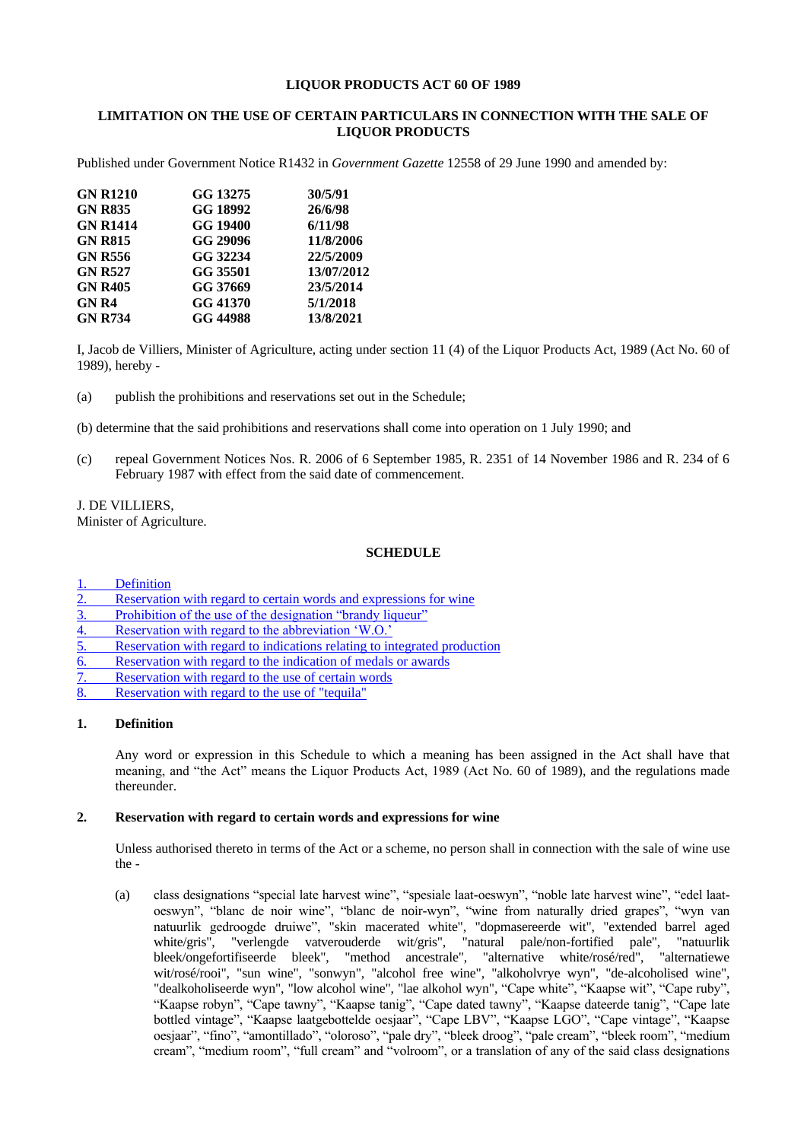#### **LIQUOR PRODUCTS ACT 60 OF 1989**

## **LIMITATION ON THE USE OF CERTAIN PARTICULARS IN CONNECTION WITH THE SALE OF LIQUOR PRODUCTS**

Published under Government Notice R1432 in *Government Gazette* 12558 of 29 June 1990 and amended by:

| <b>GN R1210</b>                  | GG 13275             | 30/5/91                |
|----------------------------------|----------------------|------------------------|
| <b>GN R835</b>                   | GG 18992             | 26/6/98                |
| <b>GN R1414</b>                  | GG 19400             | 6/11/98                |
| <b>GN R815</b><br><b>GN R556</b> | GG 29096<br>GG 32234 | 11/8/2006<br>22/5/2009 |
|                                  |                      |                        |
| <b>GN R405</b>                   | GG 37669             | 23/5/2014              |
| <b>GNR4</b>                      | GG 41370             | 5/1/2018               |
| <b>GN R734</b>                   | GG 44988             | 13/8/2021              |

I, Jacob de Villiers, Minister of Agriculture, acting under section 11 (4) of the Liquor Products Act, 1989 (Act No. 60 of 1989), hereby -

(a) publish the prohibitions and reservations set out in the Schedule;

(b) determine that the said prohibitions and reservations shall come into operation on 1 July 1990; and

(c) repeal Government Notices Nos. R. 2006 of 6 September 1985, R. 2351 of 14 November 1986 and R. 234 of 6 February 1987 with effect from the said date of commencement.

J. DE VILLIERS,

Minister of Agriculture.

#### **SCHEDULE**

**[Definition](#page-0-0)** 

- [Reservation with regard to certain words and expressions for wine](#page-0-1)
- [Prohibition of the use of the designation "brandy liqueur"](#page-1-0)
- 4. [Reservation with regard to the abbreviation 'W.O.'](#page-1-1)
- 5. [Reservation with regard to indications relating to integrated production](#page-1-2)
- 6. [Reservation with regard to the indication of](#page-1-3) medals or awards
- [Reservation with regard to the use of certain words](#page-2-0)
- 8. [Reservation with regard to the use of "tequila"](#page-2-1)

#### <span id="page-0-0"></span>**1. Definition**

Any word or expression in this Schedule to which a meaning has been assigned in the Act shall have that meaning, and "the Act" means the Liquor Products Act, 1989 (Act No. 60 of 1989), and the regulations made thereunder.

#### <span id="page-0-1"></span>**2. Reservation with regard to certain words and expressions for wine**

Unless authorised thereto in terms of the Act or a scheme, no person shall in connection with the sale of wine use the -

(a) class designations "special late harvest wine", "spesiale laat-oeswyn", "noble late harvest wine", "edel laatoeswyn", "blanc de noir wine", "blanc de noir-wyn", "wine from naturally dried grapes", "wyn van natuurlik gedroogde druiwe", "skin macerated white", "dopmasereerde wit", "extended barrel aged white/gris", "verlengde vatverouderde wit/gris", "natural pale/non-fortified pale", "natuurlik bleek/ongefortifiseerde bleek", "method ancestrale", "alternative white/rosé/red", "alternatiewe wit/rosé/rooi", "sun wine", "sonwyn", "alcohol free wine", "alkoholvrye wyn", "de-alcoholised wine", "dealkoholiseerde wyn", "low alcohol wine", "lae alkohol wyn", "Cape white", "Kaapse wit", "Cape ruby", "Kaapse robyn", "Cape tawny", "Kaapse tanig", "Cape dated tawny", "Kaapse dateerde tanig", "Cape late bottled vintage", "Kaapse laatgebottelde oesjaar", "Cape LBV", "Kaapse LGO", "Cape vintage", "Kaapse oesjaar", "fino", "amontillado", "oloroso", "pale dry", "bleek droog", "pale cream", "bleek room", "medium cream", "medium room", "full cream" and "volroom", or a translation of any of the said class designations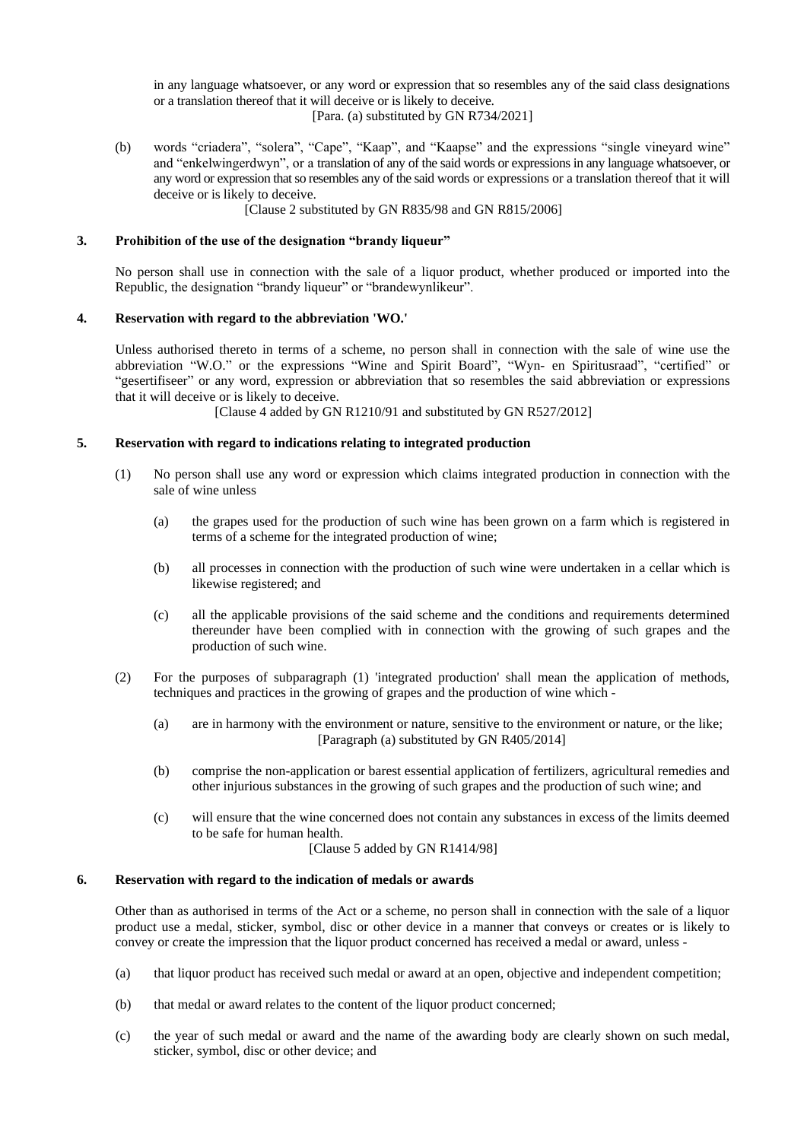in any language whatsoever, or any word or expression that so resembles any of the said class designations or a translation thereof that it will deceive or is likely to deceive.

[Para. (a) substituted by GN R734/2021]

(b) words "criadera", "solera", "Cape", "Kaap", and "Kaapse" and the expressions "single vineyard wine" and "enkelwingerdwyn", or a translation of any of the said words or expressions in any language whatsoever, or any word or expression that so resembles any of the said words or expressions or a translation thereof that it will deceive or is likely to deceive.

[Clause 2 substituted by GN R835/98 and GN R815/2006]

# <span id="page-1-0"></span>**3. Prohibition of the use of the designation "brandy liqueur"**

No person shall use in connection with the sale of a liquor product, whether produced or imported into the Republic, the designation "brandy liqueur" or "brandewynlikeur".

## <span id="page-1-1"></span>**4. Reservation with regard to the abbreviation 'WO.'**

Unless authorised thereto in terms of a scheme, no person shall in connection with the sale of wine use the abbreviation "W.O." or the expressions "Wine and Spirit Board", "Wyn- en Spiritusraad", "certified" or "gesertifiseer" or any word, expression or abbreviation that so resembles the said abbreviation or expressions that it will deceive or is likely to deceive.

[Clause 4 added by GN R1210/91 and substituted by GN R527/2012]

## <span id="page-1-2"></span>**5. Reservation with regard to indications relating to integrated production**

- (1) No person shall use any word or expression which claims integrated production in connection with the sale of wine unless
	- (a) the grapes used for the production of such wine has been grown on a farm which is registered in terms of a scheme for the integrated production of wine;
	- (b) all processes in connection with the production of such wine were undertaken in a cellar which is likewise registered; and
	- (c) all the applicable provisions of the said scheme and the conditions and requirements determined thereunder have been complied with in connection with the growing of such grapes and the production of such wine.
- (2) For the purposes of subparagraph (1) 'integrated production' shall mean the application of methods, techniques and practices in the growing of grapes and the production of wine which -
	- (a) are in harmony with the environment or nature, sensitive to the environment or nature, or the like; [Paragraph (a) substituted by GN R405/2014]
	- (b) comprise the non-application or barest essential application of fertilizers, agricultural remedies and other injurious substances in the growing of such grapes and the production of such wine; and
	- (c) will ensure that the wine concerned does not contain any substances in excess of the limits deemed to be safe for human health.
		- [Clause 5 added by GN R1414/98]

## <span id="page-1-3"></span>**6. Reservation with regard to the indication of medals or awards**

Other than as authorised in terms of the Act or a scheme, no person shall in connection with the sale of a liquor product use a medal, sticker, symbol, disc or other device in a manner that conveys or creates or is likely to convey or create the impression that the liquor product concerned has received a medal or award, unless -

- (a) that liquor product has received such medal or award at an open, objective and independent competition;
- (b) that medal or award relates to the content of the liquor product concerned;
- (c) the year of such medal or award and the name of the awarding body are clearly shown on such medal, sticker, symbol, disc or other device; and